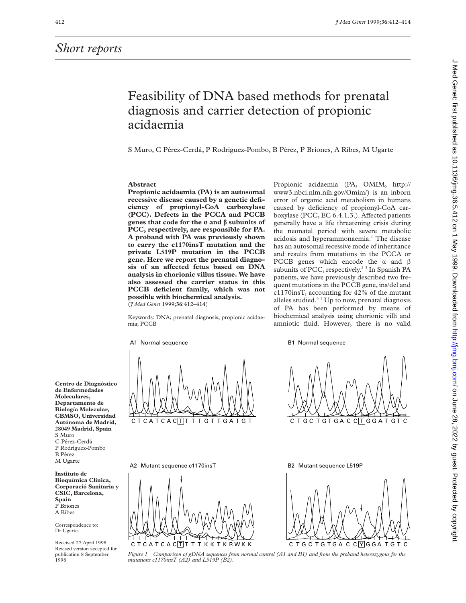## Feasibility of DNA based methods for prenatal diagnosis and carrier detection of propionic acidaemia

S Muro, C Pérez-Cerdá, P Rodríguez-Pombo, B Pérez, P Briones, A Ribes, M Ugarte

## **Abstract**

**Propionic acidaemia (PA) is an autosomal recessive disease caused by a genetic deficiency of propionyl-CoA carboxylase (PCC). Defects in the PCCA and PCCB genes that code for the**  $\alpha$  **and**  $\beta$  **subunits of PCC, respectively, are responsible for PA. A proband with PA was previously shown to carry the c1170insT mutation and the private L519P mutation in the PCCB gene. Here we report the prenatal diagno**sis of an affected fetus based on DNA **analysis in chorionic villus tissue. We have also assessed the carrier status in this PCCB deficient family, which was not possible with biochemical analysis.** (*J Med Genet* 1999;**36**:412–414)

boxylase (PCC, EC 6.4.1.3.). Affected patients generally have a life threatening crisis during the neonatal period with severe metabolic acidosis and hyperammonaemia.<sup>1</sup> The disease has an autosomal recessive mode of inheritance and results from mutations in the PCCA or PCCB genes which encode the  $\alpha$  and  $\beta$ subunits of PCC, respectively.<sup>23</sup> In Spanish PA patients, we have previously described two frequent mutations in the PCCB gene, ins/del and c1170insT, accounting for 42% of the mutant alleles studied. $45$  Up to now, prenatal diagnosis of PA has been performed by means of biochemical analysis using chorionic villi and amniotic fluid. However, there is no valid

J Med Genet: first published as 10.11196/jmg.36.5.412 on 1 May 1999. Downloaded from/copyrig.bmj.com/ J Med Genet: Frotected by copyright. Med Genet: first published as 10.1136/jmg.36.5.412 on 1 May 1999. Downloaded from http://jmg.bmj.com/ on June 28, 2022 by guest. Protected by copyright

Propionic acidaemia (PA, OMIM, http:// www3.nbci.nlm.nih.gov/Omim/) is an inborn error of organic acid metabolism in humans caused by deficiency of propionyl-CoA car-

Keywords: DNA; prenatal diagnosis; propionic acidaemia; PCCB

A1 Normal sequence



A2 Mutant sequence c1170insT





**Centro de Diagnóstico de Enfermedades Moleculares, Departamento de Biología Molecular, CBMSO, Universidad Autónoma de Madrid, 28049 Madrid, Spain** S Muro C Pérez-Cerdá P Rodríguez-Pombo B Pérez M Ugarte

**Instituto de Bioquímica Clínica, Corporació Sanitaria y CSIC, Barcelona, Spain** P Briones A Ribes

Correspondence to: Dr Ugarte.

Received 27 April 1998 Revised version accepted for publication 8 September 1998

B1 Normal sequence



B2 Mutant sequence L519P

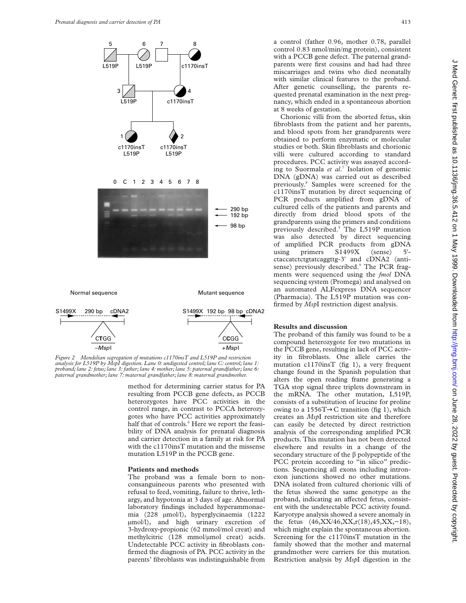

*Figure 2 Mendelian segregation of mutations c1170insT and L519P and restriction analysis for L519P by MspI digestion. Lane 0: undigested control; lane C: control; lane 1: proband; lane 2: fetus; lane 3: father; lane 4: mother; lane 5: paternal grandfather; lane 6: paternal grandmother; lane 7: maternal grandfather; lane 8: maternal grandmother.*

C**T**GG –*Msp*I

> method for determining carrier status for PA resulting from PCCB gene defects, as PCCB heterozygotes have PCC activities in the control range, in contrast to PCCA heterozygotes who have PCC activities approximately half that of controls.<sup>6</sup> Here we report the feasibility of DNA analysis for prenatal diagnosis and carrier detection in a family at risk for PA with the c1170insT mutation and the missense mutation L519P in the PCCB gene.

C**C**GG +*Msp*I

## **Patients and methods**

The proband was a female born to nonconsanguineous parents who presented with refusal to feed, vomiting, failure to thrive, lethargy, and hypotonia at 3 days of age. Abnormal laboratory findings included hyperammonaemia (228 µmol/l), hyperglycinaemia (1222 µmol/l), and high urinary excretion of 3-hydroxy-propionic (62 mmol/mol creat) and methylcitric (128 mmol/µmol creat) acids. Undetectable PCC activity in fibroblasts confirmed the diagnosis of PA. PCC activity in the parents' fibroblasts was indistinguishable from

a control (father 0.96, mother 0.78, parallel control 0.83 nmol/min/mg protein), consistent with a PCCB gene defect. The paternal grandparents were first cousins and had had three miscarriages and twins who died neonatally with similar clinical features to the proband. After genetic counselling, the parents requested prenatal examination in the next pregnancy, which ended in a spontaneous abortion at 8 weeks of gestation.

Chorionic villi from the aborted fetus, skin fibroblasts from the patient and her parents, and blood spots from her grandparents were obtained to perform enzymatic or molecular studies or both. Skin fibroblasts and chorionic villi were cultured according to standard procedures. PCC activity was assayed according to Suormala *et al*. <sup>7</sup> Isolation of genomic DNA (gDNA) was carried out as described previously.8 Samples were screened for the c1170insT mutation by direct sequencing of PCR products amplified from gDNA of cultured cells of the patients and parents and directly from dried blood spots of the grandparents using the primers and conditions previously described.5 The L519P mutation was also detected by direct sequencing of amplified PCR products from gDNA using primers S1499X (sense) 5' ctaccatctctgtatcaggttg-3' and cDNA2 (antisense) previously described.<sup>9</sup> The PCR fragments were sequenced using the *fmol* DNA sequencing system (Promega) and analysed on an automated ALFexpress DNA sequencer (Pharmacia). The L519P mutation was confirmed by *Msp*I restriction digest analysis.

## **Results and discussion**

The proband of this family was found to be a compound heterozygote for two mutations in the PCCB gene, resulting in lack of PCC activity in fibroblasts. One allele carries the mutation c1170insT (fig 1), a very frequent change found in the Spanish population that alters the open reading frame generating a TGA stop signal three triplets downstream in the mRNA. The other mutation, L519P, consists of a substitution of leucine for proline owing to a 1556T $\rightarrow$ C transition (fig 1), which creates an *Msp*I restriction site and therefore can easily be detected by direct restriction analysis of the corresponding amplified PCR products. This mutation has not been detected elsewhere and results in a change of the secondary structure of the  $\beta$  polypeptide of the PCC protein according to "in silico" predictions. Sequencing all exons including intronexon junctions showed no other mutations. DNA isolated from cultured chorionic villi of the fetus showed the same genotype as the proband, indicating an affected fetus, consistent with the undetectable PCC activity found. Karyotype analysis showed a severe anomaly in the fetus (46,XX/46,XX,r(18),45,XX,−18), which might explain the spontaneous abortion. Screening for the c1170insT mutation in the family showed that the mother and maternal grandmother were carriers for this mutation. Restriction analysis by *Msp*I digestion in the